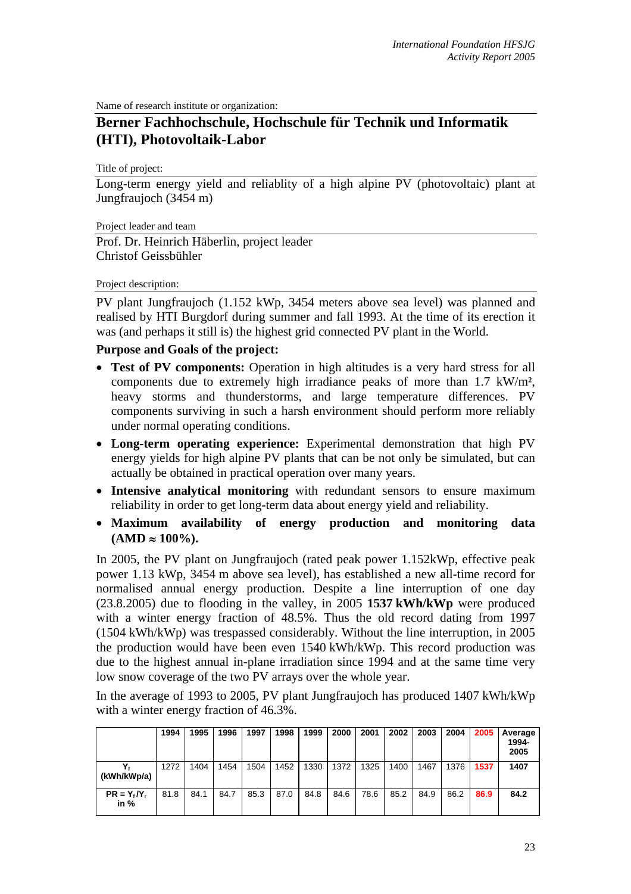Name of research institute or organization:

## **Berner Fachhochschule, Hochschule für Technik und Informatik (HTI), Photovoltaik-Labor**

Title of project:

Long-term energy yield and reliablity of a high alpine PV (photovoltaic) plant at Jungfraujoch (3454 m)

Project leader and team

Prof. Dr. Heinrich Häberlin, project leader Christof Geissbühler

## Project description:

PV plant Jungfraujoch (1.152 kWp, 3454 meters above sea level) was planned and realised by HTI Burgdorf during summer and fall 1993. At the time of its erection it was (and perhaps it still is) the highest grid connected PV plant in the World.

## **Purpose and Goals of the project:**

- **Test of PV components:** Operation in high altitudes is a very hard stress for all components due to extremely high irradiance peaks of more than 1.7 kW/m², heavy storms and thunderstorms, and large temperature differences. PV components surviving in such a harsh environment should perform more reliably under normal operating conditions.
- **Long-term operating experience:** Experimental demonstration that high PV energy yields for high alpine PV plants that can be not only be simulated, but can actually be obtained in practical operation over many years.
- **Intensive analytical monitoring** with redundant sensors to ensure maximum reliability in order to get long-term data about energy yield and reliability.
- **Maximum availability of energy production and monitoring data**   $(AMD ≈ 100\%).$

In 2005, the PV plant on Jungfraujoch (rated peak power 1.152kWp, effective peak power 1.13 kWp, 3454 m above sea level), has established a new all-time record for normalised annual energy production. Despite a line interruption of one day (23.8.2005) due to flooding in the valley, in 2005 **1537 kWh/kWp** were produced with a winter energy fraction of 48.5%. Thus the old record dating from 1997 (1504 kWh/kWp) was trespassed considerably. Without the line interruption, in 2005 the production would have been even 1540 kWh/kWp. This record production was due to the highest annual in-plane irradiation since 1994 and at the same time very low snow coverage of the two PV arrays over the whole year.

In the average of 1993 to 2005, PV plant Jungfraujoch has produced 1407 kWh/kWp with a winter energy fraction of 46.3%.

|                        | 1994 | 1995 | 1996 | 1997 | 1998 | 1999 | 2000 | 2001 | 2002 | 2003 | 2004 | 2005 | Average<br>1994-<br>2005 |
|------------------------|------|------|------|------|------|------|------|------|------|------|------|------|--------------------------|
| (kWh/kWp/a)            | 1272 | 1404 | 1454 | 1504 | 1452 | 1330 | 1372 | 1325 | 1400 | 1467 | 1376 | 1537 | 1407                     |
| $PR = Y_t/Y_t$<br>in % | 81.8 | 84.1 | 84.7 | 85.3 | 87.0 | 84.8 | 84.6 | 78.6 | 85.2 | 84.9 | 86.2 | 86.9 | 84.2                     |